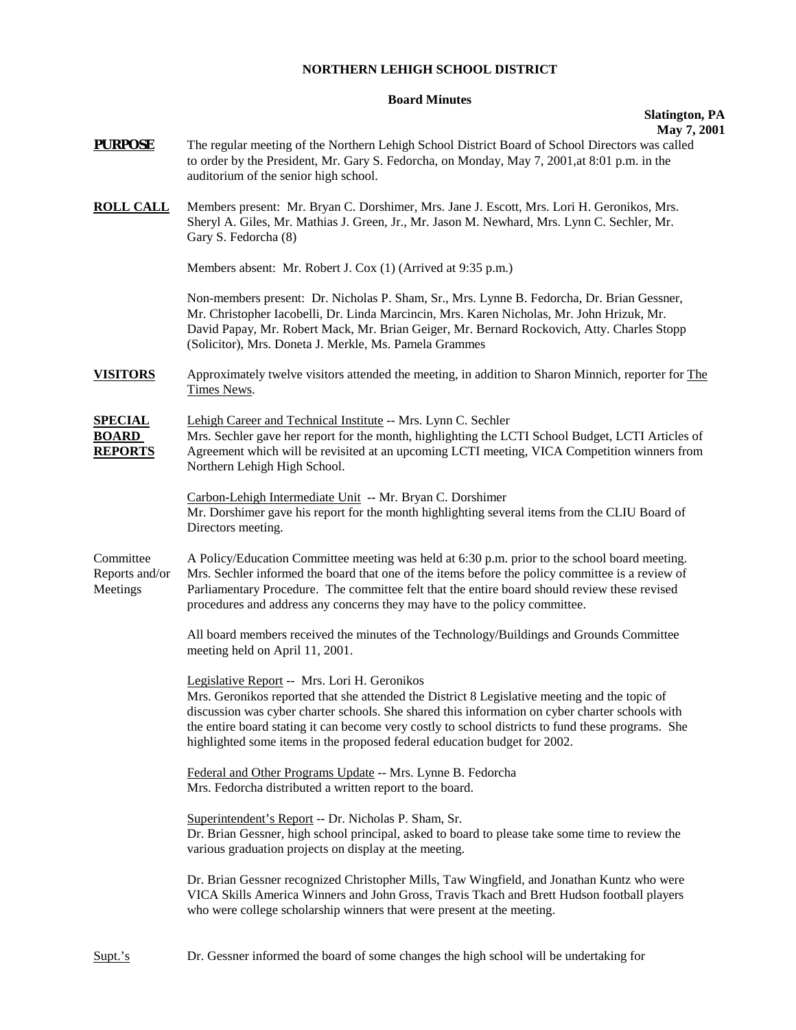## **NORTHERN LEHIGH SCHOOL DISTRICT**

## **Board Minutes**

## **Slatington, PA**

**PURPOSE** The regular meeting of the Northern Lehigh School District Board of School Directors was called to order by the President, Mr. Gary S. Fedorcha, on Monday, May 7, 2001,at 8:01 p.m. in the auditorium of the senior high school. **ROLL CALL** Members present: Mr. Bryan C. Dorshimer, Mrs. Jane J. Escott, Mrs. Lori H. Geronikos, Mrs. Sheryl A. Giles, Mr. Mathias J. Green, Jr., Mr. Jason M. Newhard, Mrs. Lynn C. Sechler, Mr. Gary S. Fedorcha (8) Members absent: Mr. Robert J. Cox (1) (Arrived at 9:35 p.m.) Non-members present: Dr. Nicholas P. Sham, Sr., Mrs. Lynne B. Fedorcha, Dr. Brian Gessner, Mr. Christopher Iacobelli, Dr. Linda Marcincin, Mrs. Karen Nicholas, Mr. John Hrizuk, Mr. David Papay, Mr. Robert Mack, Mr. Brian Geiger, Mr. Bernard Rockovich, Atty. Charles Stopp (Solicitor), Mrs. Doneta J. Merkle, Ms. Pamela Grammes **VISITORS** Approximately twelve visitors attended the meeting, in addition to Sharon Minnich, reporter for The Times News. **SPECIAL** Lehigh Career and Technical Institute -- Mrs. Lynn C. Sechler **BOARD** Mrs. Sechler gave her report for the month, highlighting the LCTI School Budget, LCTI Articles of **REPORTS** Agreement which will be revisited at an upcoming LCTI meeting, VICA Competition winners from Northern Lehigh High School. Carbon-Lehigh Intermediate Unit -- Mr. Bryan C. Dorshimer Mr. Dorshimer gave his report for the month highlighting several items from the CLIU Board of Directors meeting. Committee A Policy/Education Committee meeting was held at 6:30 p.m. prior to the school board meeting. Reports and/or Mrs. Sechler informed the board that one of the items before the policy committee is a review of Meetings Parliamentary Procedure. The committee felt that the entire board should review these revised procedures and address any concerns they may have to the policy committee. All board members received the minutes of the Technology/Buildings and Grounds Committee meeting held on April 11, 2001. Legislative Report -- Mrs. Lori H. Geronikos Mrs. Geronikos reported that she attended the District 8 Legislative meeting and the topic of discussion was cyber charter schools. She shared this information on cyber charter schools with the entire board stating it can become very costly to school districts to fund these programs. She highlighted some items in the proposed federal education budget for 2002. Federal and Other Programs Update -- Mrs. Lynne B. Fedorcha Mrs. Fedorcha distributed a written report to the board. Superintendent's Report -- Dr. Nicholas P. Sham, Sr. Dr. Brian Gessner, high school principal, asked to board to please take some time to review the various graduation projects on display at the meeting. Dr. Brian Gessner recognized Christopher Mills, Taw Wingfield, and Jonathan Kuntz who were VICA Skills America Winners and John Gross, Travis Tkach and Brett Hudson football players who were college scholarship winners that were present at the meeting.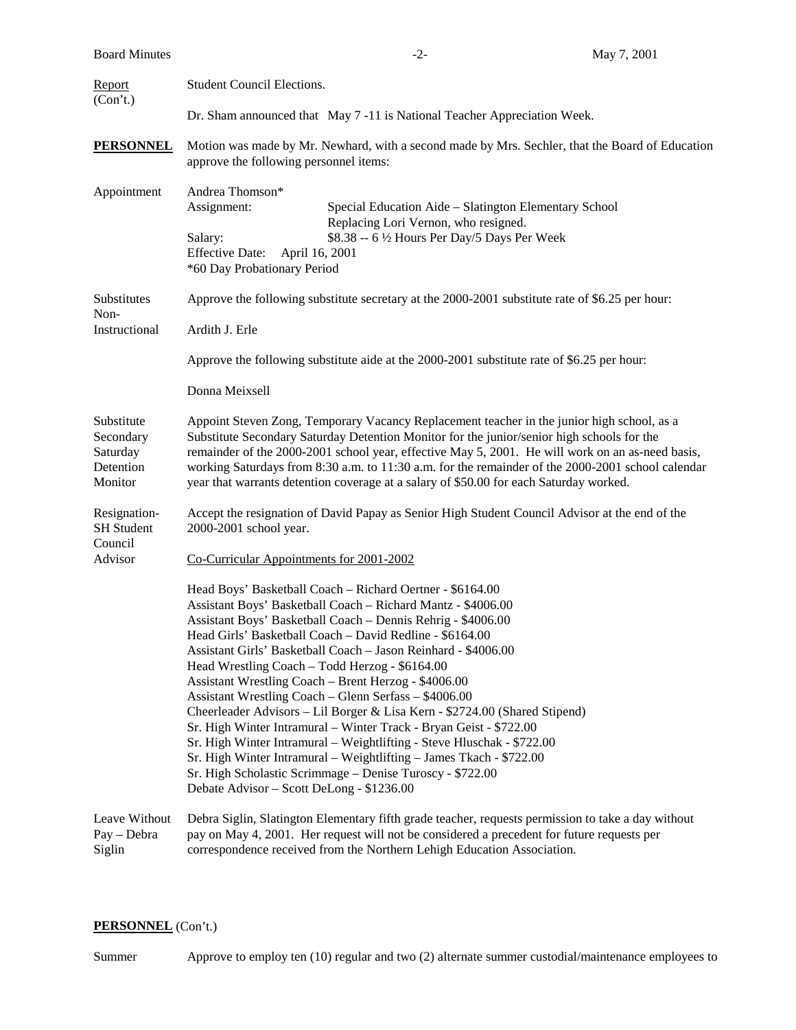| <b>Board Minutes</b>                                        |                                                                                                                                                                                                                                                                                                                                                                                                                                                                                                                                                                                                                                                                                                                                                                                                                                                                                                           | $-2-$                                                                                                                                                                 | May 7, 2001                                                                                        |  |  |
|-------------------------------------------------------------|-----------------------------------------------------------------------------------------------------------------------------------------------------------------------------------------------------------------------------------------------------------------------------------------------------------------------------------------------------------------------------------------------------------------------------------------------------------------------------------------------------------------------------------------------------------------------------------------------------------------------------------------------------------------------------------------------------------------------------------------------------------------------------------------------------------------------------------------------------------------------------------------------------------|-----------------------------------------------------------------------------------------------------------------------------------------------------------------------|----------------------------------------------------------------------------------------------------|--|--|
| Report<br>(Con't.)                                          | <b>Student Council Elections.</b>                                                                                                                                                                                                                                                                                                                                                                                                                                                                                                                                                                                                                                                                                                                                                                                                                                                                         |                                                                                                                                                                       |                                                                                                    |  |  |
|                                                             | Dr. Sham announced that May 7 -11 is National Teacher Appreciation Week.                                                                                                                                                                                                                                                                                                                                                                                                                                                                                                                                                                                                                                                                                                                                                                                                                                  |                                                                                                                                                                       |                                                                                                    |  |  |
| <b>PERSONNEL</b>                                            | Motion was made by Mr. Newhard, with a second made by Mrs. Sechler, that the Board of Education<br>approve the following personnel items:                                                                                                                                                                                                                                                                                                                                                                                                                                                                                                                                                                                                                                                                                                                                                                 |                                                                                                                                                                       |                                                                                                    |  |  |
| Appointment                                                 | Andrea Thomson*<br>Assignment:<br>Salary:<br><b>Effective Date:</b><br>April 16, 2001<br>*60 Day Probationary Period                                                                                                                                                                                                                                                                                                                                                                                                                                                                                                                                                                                                                                                                                                                                                                                      | Special Education Aide - Slatington Elementary School<br>Replacing Lori Vernon, who resigned.<br>\$8.38 -- 6 ½ Hours Per Day/5 Days Per Week                          |                                                                                                    |  |  |
| Substitutes                                                 |                                                                                                                                                                                                                                                                                                                                                                                                                                                                                                                                                                                                                                                                                                                                                                                                                                                                                                           | Approve the following substitute secretary at the 2000-2001 substitute rate of \$6.25 per hour:                                                                       |                                                                                                    |  |  |
| Non-<br>Instructional                                       | Ardith J. Erle                                                                                                                                                                                                                                                                                                                                                                                                                                                                                                                                                                                                                                                                                                                                                                                                                                                                                            |                                                                                                                                                                       |                                                                                                    |  |  |
|                                                             | Approve the following substitute aide at the 2000-2001 substitute rate of \$6.25 per hour:                                                                                                                                                                                                                                                                                                                                                                                                                                                                                                                                                                                                                                                                                                                                                                                                                |                                                                                                                                                                       |                                                                                                    |  |  |
|                                                             | Donna Meixsell                                                                                                                                                                                                                                                                                                                                                                                                                                                                                                                                                                                                                                                                                                                                                                                                                                                                                            |                                                                                                                                                                       |                                                                                                    |  |  |
| Substitute<br>Secondary<br>Saturday<br>Detention<br>Monitor | Appoint Steven Zong, Temporary Vacancy Replacement teacher in the junior high school, as a<br>Substitute Secondary Saturday Detention Monitor for the junior/senior high schools for the<br>remainder of the 2000-2001 school year, effective May 5, 2001. He will work on an as-need basis,<br>working Saturdays from 8:30 a.m. to 11:30 a.m. for the remainder of the 2000-2001 school calendar<br>year that warrants detention coverage at a salary of \$50.00 for each Saturday worked.                                                                                                                                                                                                                                                                                                                                                                                                               |                                                                                                                                                                       |                                                                                                    |  |  |
| Resignation-<br><b>SH</b> Student<br>Council<br>Advisor     | 2000-2001 school year.                                                                                                                                                                                                                                                                                                                                                                                                                                                                                                                                                                                                                                                                                                                                                                                                                                                                                    | Accept the resignation of David Papay as Senior High Student Council Advisor at the end of the                                                                        |                                                                                                    |  |  |
|                                                             | Co-Curricular Appointments for 2001-2002                                                                                                                                                                                                                                                                                                                                                                                                                                                                                                                                                                                                                                                                                                                                                                                                                                                                  |                                                                                                                                                                       |                                                                                                    |  |  |
|                                                             | Head Boys' Basketball Coach - Richard Oertner - \$6164.00<br>Assistant Boys' Basketball Coach - Richard Mantz - \$4006.00<br>Assistant Boys' Basketball Coach - Dennis Rehrig - \$4006.00<br>Head Girls' Basketball Coach - David Redline - \$6164.00<br>Assistant Girls' Basketball Coach - Jason Reinhard - \$4006.00<br>Head Wrestling Coach - Todd Herzog - \$6164.00<br>Assistant Wrestling Coach - Brent Herzog - \$4006.00<br>Assistant Wrestling Coach - Glenn Serfass - \$4006.00<br>Cheerleader Advisors - Lil Borger & Lisa Kern - \$2724.00 (Shared Stipend)<br>Sr. High Winter Intramural - Winter Track - Bryan Geist - \$722.00<br>Sr. High Winter Intramural - Weightlifting - Steve Hluschak - \$722.00<br>Sr. High Winter Intramural - Weightlifting - James Tkach - \$722.00<br>Sr. High Scholastic Scrimmage - Denise Turoscy - \$722.00<br>Debate Advisor - Scott DeLong - \$1236.00 |                                                                                                                                                                       |                                                                                                    |  |  |
| Leave Without<br>Pay - Debra<br>Siglin                      |                                                                                                                                                                                                                                                                                                                                                                                                                                                                                                                                                                                                                                                                                                                                                                                                                                                                                                           | pay on May 4, 2001. Her request will not be considered a precedent for future requests per<br>correspondence received from the Northern Lehigh Education Association. | Debra Siglin, Slatington Elementary fifth grade teacher, requests permission to take a day without |  |  |

## **PERSONNEL** (Con't.)

Summer Approve to employ ten (10) regular and two (2) alternate summer custodial/maintenance employees to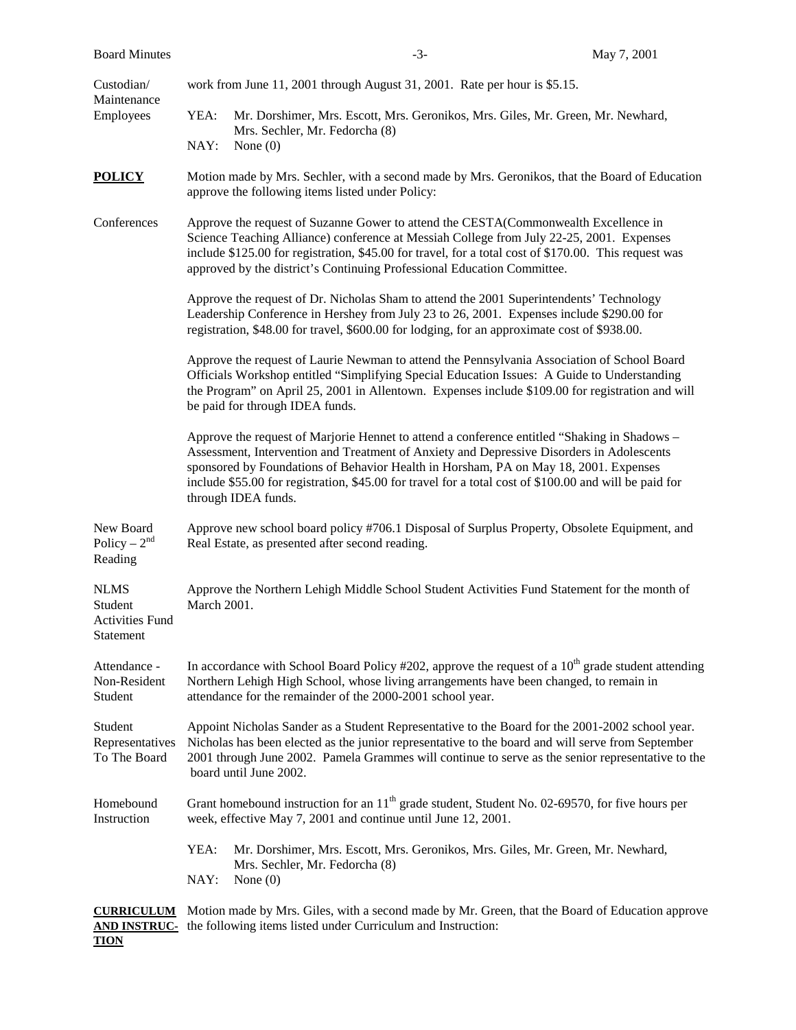| <b>Board Minutes</b>                                          |                                                                                                                                                                                                                                                                                                                                                                     |                                                                                              | $-3-$ | May 7, 2001                                                                                                                                                                                                                                                                                                                                                                                 |
|---------------------------------------------------------------|---------------------------------------------------------------------------------------------------------------------------------------------------------------------------------------------------------------------------------------------------------------------------------------------------------------------------------------------------------------------|----------------------------------------------------------------------------------------------|-------|---------------------------------------------------------------------------------------------------------------------------------------------------------------------------------------------------------------------------------------------------------------------------------------------------------------------------------------------------------------------------------------------|
| Custodian/<br>Maintenance<br>Employees                        | work from June 11, 2001 through August 31, 2001. Rate per hour is \$5.15.                                                                                                                                                                                                                                                                                           |                                                                                              |       |                                                                                                                                                                                                                                                                                                                                                                                             |
|                                                               | YEA:                                                                                                                                                                                                                                                                                                                                                                | Mrs. Sechler, Mr. Fedorcha (8)                                                               |       | Mr. Dorshimer, Mrs. Escott, Mrs. Geronikos, Mrs. Giles, Mr. Green, Mr. Newhard,                                                                                                                                                                                                                                                                                                             |
|                                                               | NAY:                                                                                                                                                                                                                                                                                                                                                                | None $(0)$                                                                                   |       |                                                                                                                                                                                                                                                                                                                                                                                             |
| <b>POLICY</b>                                                 | Motion made by Mrs. Sechler, with a second made by Mrs. Geronikos, that the Board of Education<br>approve the following items listed under Policy:                                                                                                                                                                                                                  |                                                                                              |       |                                                                                                                                                                                                                                                                                                                                                                                             |
| Conferences                                                   | Approve the request of Suzanne Gower to attend the CESTA(Commonwealth Excellence in<br>Science Teaching Alliance) conference at Messiah College from July 22-25, 2001. Expenses<br>include \$125.00 for registration, \$45.00 for travel, for a total cost of \$170.00. This request was<br>approved by the district's Continuing Professional Education Committee. |                                                                                              |       |                                                                                                                                                                                                                                                                                                                                                                                             |
|                                                               |                                                                                                                                                                                                                                                                                                                                                                     | registration, \$48.00 for travel, \$600.00 for lodging, for an approximate cost of \$938.00. |       | Approve the request of Dr. Nicholas Sham to attend the 2001 Superintendents' Technology<br>Leadership Conference in Hershey from July 23 to 26, 2001. Expenses include \$290.00 for                                                                                                                                                                                                         |
|                                                               | Approve the request of Laurie Newman to attend the Pennsylvania Association of School Board<br>Officials Workshop entitled "Simplifying Special Education Issues: A Guide to Understanding<br>the Program" on April 25, 2001 in Allentown. Expenses include \$109.00 for registration and will<br>be paid for through IDEA funds.                                   |                                                                                              |       |                                                                                                                                                                                                                                                                                                                                                                                             |
|                                                               |                                                                                                                                                                                                                                                                                                                                                                     | through IDEA funds.                                                                          |       | Approve the request of Marjorie Hennet to attend a conference entitled "Shaking in Shadows –<br>Assessment, Intervention and Treatment of Anxiety and Depressive Disorders in Adolescents<br>sponsored by Foundations of Behavior Health in Horsham, PA on May 18, 2001. Expenses<br>include \$55.00 for registration, \$45.00 for travel for a total cost of \$100.00 and will be paid for |
| New Board<br>Policy – $2^{nd}$<br>Reading                     | Approve new school board policy #706.1 Disposal of Surplus Property, Obsolete Equipment, and<br>Real Estate, as presented after second reading.                                                                                                                                                                                                                     |                                                                                              |       |                                                                                                                                                                                                                                                                                                                                                                                             |
| <b>NLMS</b><br>Student<br><b>Activities Fund</b><br>Statement | Approve the Northern Lehigh Middle School Student Activities Fund Statement for the month of<br>March 2001.                                                                                                                                                                                                                                                         |                                                                                              |       |                                                                                                                                                                                                                                                                                                                                                                                             |
| Attendance -<br>Non-Resident<br>Student                       | In accordance with School Board Policy #202, approve the request of a $10th$ grade student attending<br>Northern Lehigh High School, whose living arrangements have been changed, to remain in<br>attendance for the remainder of the 2000-2001 school year.                                                                                                        |                                                                                              |       |                                                                                                                                                                                                                                                                                                                                                                                             |
| Student<br>Representatives<br>To The Board                    | Appoint Nicholas Sander as a Student Representative to the Board for the 2001-2002 school year.<br>Nicholas has been elected as the junior representative to the board and will serve from September<br>2001 through June 2002. Pamela Grammes will continue to serve as the senior representative to the<br>board until June 2002.                                 |                                                                                              |       |                                                                                                                                                                                                                                                                                                                                                                                             |
| Homebound<br>Instruction                                      |                                                                                                                                                                                                                                                                                                                                                                     | week, effective May 7, 2001 and continue until June 12, 2001.                                |       | Grant homebound instruction for an $11th$ grade student, Student No. 02-69570, for five hours per                                                                                                                                                                                                                                                                                           |
|                                                               | YEA:<br>NAY:                                                                                                                                                                                                                                                                                                                                                        | Mrs. Sechler, Mr. Fedorcha (8)<br>None $(0)$                                                 |       | Mr. Dorshimer, Mrs. Escott, Mrs. Geronikos, Mrs. Giles, Mr. Green, Mr. Newhard,                                                                                                                                                                                                                                                                                                             |
| <b>CURRICULUM</b><br><u>AND INSTRUC-</u><br><b>TION</b>       |                                                                                                                                                                                                                                                                                                                                                                     | the following items listed under Curriculum and Instruction:                                 |       | Motion made by Mrs. Giles, with a second made by Mr. Green, that the Board of Education approve                                                                                                                                                                                                                                                                                             |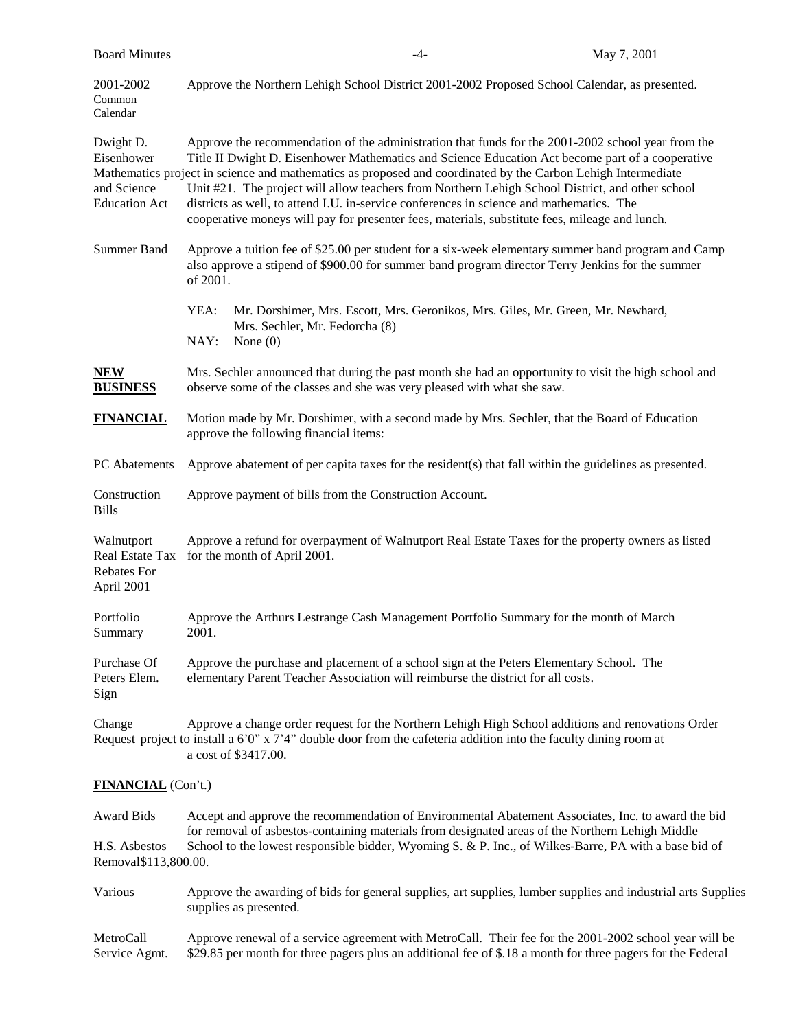| <b>Board Minutes</b>                                              |                                                                                                                                                                                                                                                                                                                                                                                                                                                                                                                                                                                                                          | -4-                                                                                                                                                                                                                      | May 7, 2001 |  |
|-------------------------------------------------------------------|--------------------------------------------------------------------------------------------------------------------------------------------------------------------------------------------------------------------------------------------------------------------------------------------------------------------------------------------------------------------------------------------------------------------------------------------------------------------------------------------------------------------------------------------------------------------------------------------------------------------------|--------------------------------------------------------------------------------------------------------------------------------------------------------------------------------------------------------------------------|-------------|--|
| 2001-2002<br>Common<br>Calendar                                   | Approve the Northern Lehigh School District 2001-2002 Proposed School Calendar, as presented.                                                                                                                                                                                                                                                                                                                                                                                                                                                                                                                            |                                                                                                                                                                                                                          |             |  |
| Dwight D.<br>Eisenhower<br>and Science<br><b>Education Act</b>    | Approve the recommendation of the administration that funds for the 2001-2002 school year from the<br>Title II Dwight D. Eisenhower Mathematics and Science Education Act become part of a cooperative<br>Mathematics project in science and mathematics as proposed and coordinated by the Carbon Lehigh Intermediate<br>Unit #21. The project will allow teachers from Northern Lehigh School District, and other school<br>districts as well, to attend I.U. in-service conferences in science and mathematics. The<br>cooperative moneys will pay for presenter fees, materials, substitute fees, mileage and lunch. |                                                                                                                                                                                                                          |             |  |
| <b>Summer Band</b>                                                | of 2001.                                                                                                                                                                                                                                                                                                                                                                                                                                                                                                                                                                                                                 | Approve a tuition fee of \$25.00 per student for a six-week elementary summer band program and Camp<br>also approve a stipend of \$900.00 for summer band program director Terry Jenkins for the summer                  |             |  |
|                                                                   | YEA:<br>NAY:<br>None $(0)$                                                                                                                                                                                                                                                                                                                                                                                                                                                                                                                                                                                               | Mr. Dorshimer, Mrs. Escott, Mrs. Geronikos, Mrs. Giles, Mr. Green, Mr. Newhard,<br>Mrs. Sechler, Mr. Fedorcha (8)                                                                                                        |             |  |
| <b>NEW</b><br><b>BUSINESS</b>                                     |                                                                                                                                                                                                                                                                                                                                                                                                                                                                                                                                                                                                                          | Mrs. Sechler announced that during the past month she had an opportunity to visit the high school and<br>observe some of the classes and she was very pleased with what she saw.                                         |             |  |
| <b>FINANCIAL</b>                                                  | Motion made by Mr. Dorshimer, with a second made by Mrs. Sechler, that the Board of Education<br>approve the following financial items:                                                                                                                                                                                                                                                                                                                                                                                                                                                                                  |                                                                                                                                                                                                                          |             |  |
| PC Abatements                                                     | Approve abatement of per capita taxes for the resident(s) that fall within the guidelines as presented.                                                                                                                                                                                                                                                                                                                                                                                                                                                                                                                  |                                                                                                                                                                                                                          |             |  |
| Construction<br><b>Bills</b>                                      | Approve payment of bills from the Construction Account.                                                                                                                                                                                                                                                                                                                                                                                                                                                                                                                                                                  |                                                                                                                                                                                                                          |             |  |
| Walnutport<br>Real Estate Tax<br><b>Rebates For</b><br>April 2001 | Approve a refund for overpayment of Walnutport Real Estate Taxes for the property owners as listed<br>for the month of April 2001.                                                                                                                                                                                                                                                                                                                                                                                                                                                                                       |                                                                                                                                                                                                                          |             |  |
| Portfolio<br>Summary                                              | Approve the Arthurs Lestrange Cash Management Portfolio Summary for the month of March<br>2001.                                                                                                                                                                                                                                                                                                                                                                                                                                                                                                                          |                                                                                                                                                                                                                          |             |  |
| Purchase Of<br>Peters Elem.<br>Sign                               | Approve the purchase and placement of a school sign at the Peters Elementary School. The<br>elementary Parent Teacher Association will reimburse the district for all costs.                                                                                                                                                                                                                                                                                                                                                                                                                                             |                                                                                                                                                                                                                          |             |  |
| Change                                                            | a cost of \$3417.00.                                                                                                                                                                                                                                                                                                                                                                                                                                                                                                                                                                                                     | Approve a change order request for the Northern Lehigh High School additions and renovations Order<br>Request project to install a 6'0" $x$ 7'4" double door from the cafeteria addition into the faculty dining room at |             |  |
| <b>FINANCIAL</b> (Con't.)                                         |                                                                                                                                                                                                                                                                                                                                                                                                                                                                                                                                                                                                                          |                                                                                                                                                                                                                          |             |  |
| <b>Award Bids</b>                                                 |                                                                                                                                                                                                                                                                                                                                                                                                                                                                                                                                                                                                                          | Accept and approve the recommendation of Environmental Abatement Associates, Inc. to award the bid<br>for removal of asbestos-containing materials from designated areas of the Northern Lehigh Middle                   |             |  |
| H.S. Asbestos<br>Removal\$113,800.00.                             |                                                                                                                                                                                                                                                                                                                                                                                                                                                                                                                                                                                                                          | School to the lowest responsible bidder, Wyoming S. & P. Inc., of Wilkes-Barre, PA with a base bid of                                                                                                                    |             |  |
| Various                                                           | Approve the awarding of bids for general supplies, art supplies, lumber supplies and industrial arts Supplies<br>supplies as presented.                                                                                                                                                                                                                                                                                                                                                                                                                                                                                  |                                                                                                                                                                                                                          |             |  |
|                                                                   |                                                                                                                                                                                                                                                                                                                                                                                                                                                                                                                                                                                                                          |                                                                                                                                                                                                                          |             |  |

MetroCall Approve renewal of a service agreement with MetroCall. Their fee for the 2001-2002 school year will be Service Agmt. \$29.85 per month for three pagers plus an additional fee of \$.18 a month for three pagers for the Federal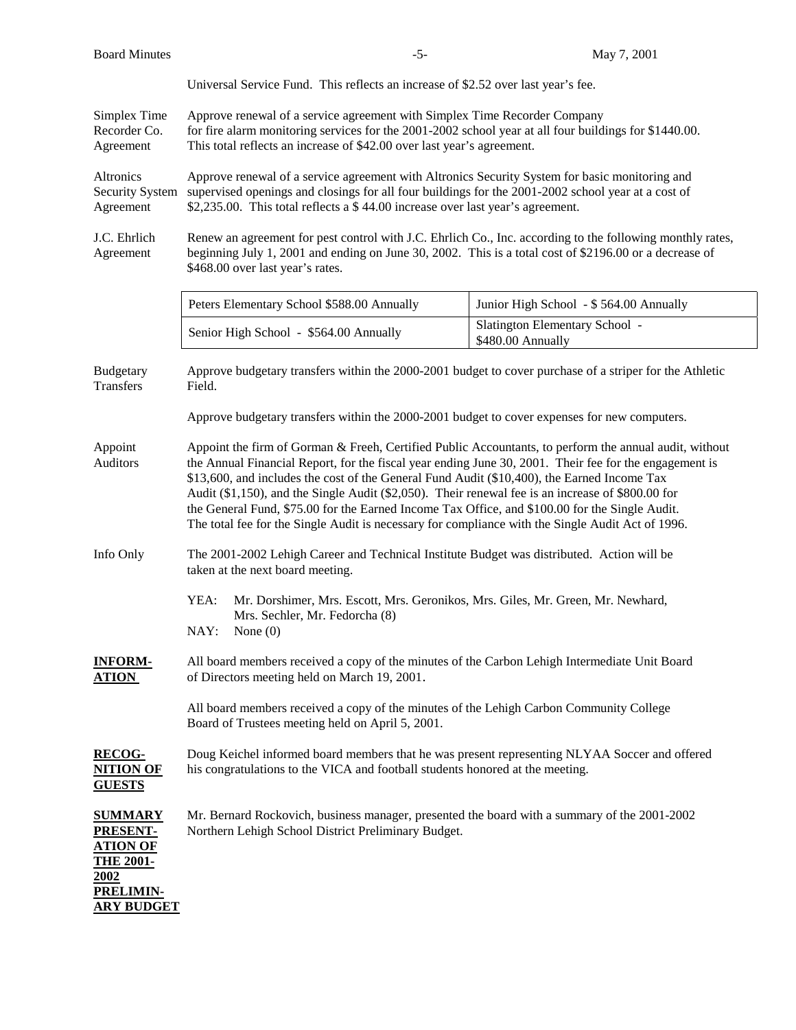| <b>Board Minutes</b>                                                                                                      | $-5-$                                                                                                                                                                                                                                                                                                                                                                                                                                                                                                                                                                                                                       | May 7, 2001                                         |  |  |
|---------------------------------------------------------------------------------------------------------------------------|-----------------------------------------------------------------------------------------------------------------------------------------------------------------------------------------------------------------------------------------------------------------------------------------------------------------------------------------------------------------------------------------------------------------------------------------------------------------------------------------------------------------------------------------------------------------------------------------------------------------------------|-----------------------------------------------------|--|--|
|                                                                                                                           | Universal Service Fund. This reflects an increase of \$2.52 over last year's fee.                                                                                                                                                                                                                                                                                                                                                                                                                                                                                                                                           |                                                     |  |  |
| Simplex Time<br>Recorder Co.<br>Agreement                                                                                 | Approve renewal of a service agreement with Simplex Time Recorder Company<br>for fire alarm monitoring services for the 2001-2002 school year at all four buildings for \$1440.00.<br>This total reflects an increase of \$42.00 over last year's agreement.                                                                                                                                                                                                                                                                                                                                                                |                                                     |  |  |
| Altronics<br>Security System<br>Agreement                                                                                 | Approve renewal of a service agreement with Altronics Security System for basic monitoring and<br>supervised openings and closings for all four buildings for the 2001-2002 school year at a cost of<br>\$2,235.00. This total reflects a \$44.00 increase over last year's agreement.                                                                                                                                                                                                                                                                                                                                      |                                                     |  |  |
| J.C. Ehrlich<br>Agreement                                                                                                 | Renew an agreement for pest control with J.C. Ehrlich Co., Inc. according to the following monthly rates,<br>beginning July 1, 2001 and ending on June 30, 2002. This is a total cost of \$2196.00 or a decrease of<br>\$468.00 over last year's rates.                                                                                                                                                                                                                                                                                                                                                                     |                                                     |  |  |
|                                                                                                                           | Peters Elementary School \$588.00 Annually                                                                                                                                                                                                                                                                                                                                                                                                                                                                                                                                                                                  | Junior High School - \$564.00 Annually              |  |  |
|                                                                                                                           | Senior High School - \$564.00 Annually                                                                                                                                                                                                                                                                                                                                                                                                                                                                                                                                                                                      | Slatington Elementary School -<br>\$480.00 Annually |  |  |
| <b>Budgetary</b><br><b>Transfers</b>                                                                                      | Approve budgetary transfers within the 2000-2001 budget to cover purchase of a striper for the Athletic<br>Field.                                                                                                                                                                                                                                                                                                                                                                                                                                                                                                           |                                                     |  |  |
|                                                                                                                           | Approve budgetary transfers within the 2000-2001 budget to cover expenses for new computers.                                                                                                                                                                                                                                                                                                                                                                                                                                                                                                                                |                                                     |  |  |
| Appoint<br>Auditors                                                                                                       | Appoint the firm of Gorman & Freeh, Certified Public Accountants, to perform the annual audit, without<br>the Annual Financial Report, for the fiscal year ending June 30, 2001. Their fee for the engagement is<br>\$13,600, and includes the cost of the General Fund Audit (\$10,400), the Earned Income Tax<br>Audit (\$1,150), and the Single Audit (\$2,050). Their renewal fee is an increase of \$800.00 for<br>the General Fund, \$75.00 for the Earned Income Tax Office, and \$100.00 for the Single Audit.<br>The total fee for the Single Audit is necessary for compliance with the Single Audit Act of 1996. |                                                     |  |  |
| Info Only                                                                                                                 | The 2001-2002 Lehigh Career and Technical Institute Budget was distributed. Action will be<br>taken at the next board meeting.                                                                                                                                                                                                                                                                                                                                                                                                                                                                                              |                                                     |  |  |
|                                                                                                                           | YEA:<br>Mr. Dorshimer, Mrs. Escott, Mrs. Geronikos, Mrs. Giles, Mr. Green, Mr. Newhard,<br>Mrs. Sechler, Mr. Fedorcha (8)<br>NAY: None(0)                                                                                                                                                                                                                                                                                                                                                                                                                                                                                   |                                                     |  |  |
| INFORM-<br><b>ATION</b>                                                                                                   | All board members received a copy of the minutes of the Carbon Lehigh Intermediate Unit Board<br>of Directors meeting held on March 19, 2001.                                                                                                                                                                                                                                                                                                                                                                                                                                                                               |                                                     |  |  |
|                                                                                                                           | All board members received a copy of the minutes of the Lehigh Carbon Community College<br>Board of Trustees meeting held on April 5, 2001.                                                                                                                                                                                                                                                                                                                                                                                                                                                                                 |                                                     |  |  |
| <b>RECOG-</b><br><b>NITION OF</b><br><b>GUESTS</b>                                                                        | Doug Keichel informed board members that he was present representing NLYAA Soccer and offered<br>his congratulations to the VICA and football students honored at the meeting.                                                                                                                                                                                                                                                                                                                                                                                                                                              |                                                     |  |  |
| <b>SUMMARY</b><br><b>PRESENT-</b><br><u>ATION OF</u><br><u>THE 2001-</u><br>2002<br><b>PRELIMIN-</b><br><b>ARY BUDGET</b> | Mr. Bernard Rockovich, business manager, presented the board with a summary of the 2001-2002<br>Northern Lehigh School District Preliminary Budget.                                                                                                                                                                                                                                                                                                                                                                                                                                                                         |                                                     |  |  |